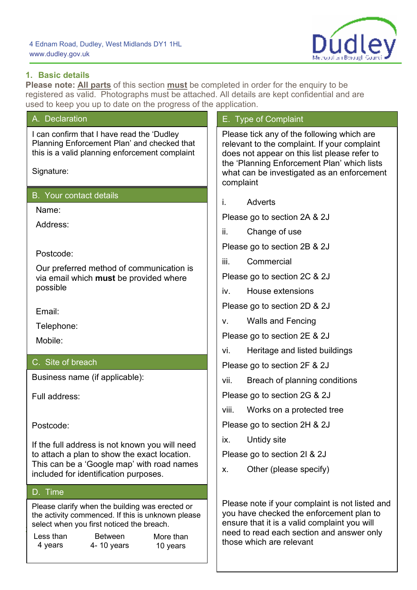

## **1. Basic details**

**Please note: All parts** of this section **must** be completed in order for the enquiry to be registered as valid. Photographs must be attached. All details are kept confidential and are used to keep you up to date on the progress of the application.

| used to keep you up to date on the progress or the application.                                                                                                                       |                                                                                                                                                                                                                                                      |  |
|---------------------------------------------------------------------------------------------------------------------------------------------------------------------------------------|------------------------------------------------------------------------------------------------------------------------------------------------------------------------------------------------------------------------------------------------------|--|
| A. Declaration                                                                                                                                                                        | E. Type of Complaint                                                                                                                                                                                                                                 |  |
| I can confirm that I have read the 'Dudley<br>Planning Enforcement Plan' and checked that<br>this is a valid planning enforcement complaint<br>Signature:                             | Please tick any of the following which are<br>relevant to the complaint. If your complaint<br>does not appear on this list please refer to<br>the 'Planning Enforcement Plan' which lists<br>what can be investigated as an enforcement<br>complaint |  |
| <b>B.</b> Your contact details                                                                                                                                                        |                                                                                                                                                                                                                                                      |  |
| Name:                                                                                                                                                                                 | i.<br><b>Adverts</b>                                                                                                                                                                                                                                 |  |
| Address:                                                                                                                                                                              | Please go to section 2A & 2J                                                                                                                                                                                                                         |  |
|                                                                                                                                                                                       | ii.<br>Change of use                                                                                                                                                                                                                                 |  |
| Postcode:                                                                                                                                                                             | Please go to section 2B & 2J                                                                                                                                                                                                                         |  |
| Our preferred method of communication is                                                                                                                                              | iii.<br>Commercial                                                                                                                                                                                                                                   |  |
| via email which must be provided where<br>possible                                                                                                                                    | Please go to section 2C & 2J                                                                                                                                                                                                                         |  |
|                                                                                                                                                                                       | House extensions<br>iv.                                                                                                                                                                                                                              |  |
| Email:                                                                                                                                                                                | Please go to section 2D & 2J                                                                                                                                                                                                                         |  |
| Telephone:                                                                                                                                                                            | <b>Walls and Fencing</b><br>V.                                                                                                                                                                                                                       |  |
| Mobile:                                                                                                                                                                               | Please go to section 2E & 2J                                                                                                                                                                                                                         |  |
|                                                                                                                                                                                       | Heritage and listed buildings<br>vi.                                                                                                                                                                                                                 |  |
| C. Site of breach                                                                                                                                                                     | Please go to section 2F & 2J                                                                                                                                                                                                                         |  |
| Business name (if applicable):                                                                                                                                                        | Breach of planning conditions<br>vii.                                                                                                                                                                                                                |  |
| Full address:                                                                                                                                                                         | Please go to section 2G & 2J                                                                                                                                                                                                                         |  |
|                                                                                                                                                                                       | viii.<br>Works on a protected tree                                                                                                                                                                                                                   |  |
| Postcode:                                                                                                                                                                             | Please go to section 2H & 2J                                                                                                                                                                                                                         |  |
| If the full address is not known you will need<br>to attach a plan to show the exact location.<br>This can be a 'Google map' with road names<br>included for identification purposes. | Untidy site<br>ix.                                                                                                                                                                                                                                   |  |
|                                                                                                                                                                                       | Please go to section 2l & 2J                                                                                                                                                                                                                         |  |
|                                                                                                                                                                                       | Other (please specify)<br>Χ.                                                                                                                                                                                                                         |  |
| D. Time                                                                                                                                                                               |                                                                                                                                                                                                                                                      |  |
| Please clarify when the building was erected or<br>the activity commenced. If this is unknown please<br>select when you first noticed the breach.                                     | Please note if your complaint is not listed and<br>you have checked the enforcement plan to<br>ensure that it is a valid complaint you will<br>need to read each section and answer only<br>those which are relevant                                 |  |
| Less than<br><b>Between</b><br>More than<br>4- 10 years<br>4 years<br>10 years                                                                                                        |                                                                                                                                                                                                                                                      |  |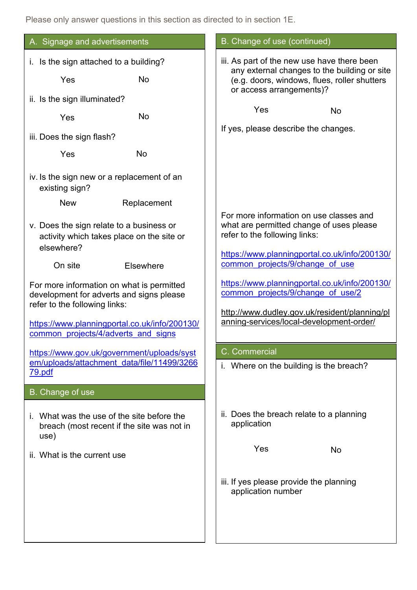Please only answer questions in this section as directed to in section 1E.

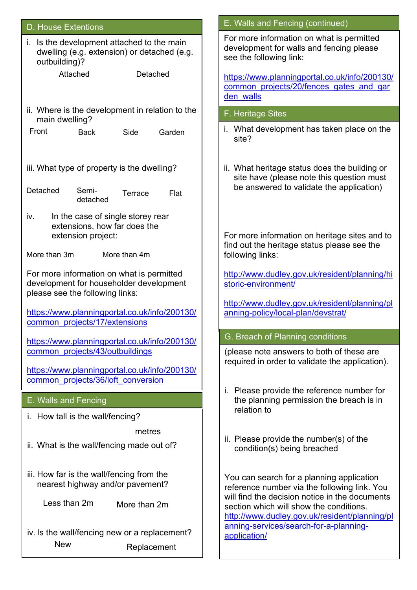| <b>D. House Extentions</b>                                                                                              | E. Walls and Fencing (continued)                                                                                                                                                                                                        |  |
|-------------------------------------------------------------------------------------------------------------------------|-----------------------------------------------------------------------------------------------------------------------------------------------------------------------------------------------------------------------------------------|--|
| i. Is the development attached to the main<br>dwelling (e.g. extension) or detached (e.g.<br>outbuilding)?              | For more information on what is permitted<br>development for walls and fencing please<br>see the following link:                                                                                                                        |  |
| Attached<br>Detached                                                                                                    | https://www.planningportal.co.uk/info/200130/<br>common projects/20/fences gates and gar<br>den walls                                                                                                                                   |  |
| ii. Where is the development in relation to the<br>main dwelling?                                                       | F. Heritage Sites                                                                                                                                                                                                                       |  |
| Front<br>Garden<br><b>Back</b><br>Side                                                                                  | i. What development has taken place on the<br>site?                                                                                                                                                                                     |  |
| iii. What type of property is the dwelling?                                                                             | ii. What heritage status does the building or<br>site have (please note this question must<br>be answered to validate the application)                                                                                                  |  |
| Detached<br>Semi-<br>Flat<br>Terrace<br>detached                                                                        |                                                                                                                                                                                                                                         |  |
| iv.<br>In the case of single storey rear<br>extensions, how far does the                                                |                                                                                                                                                                                                                                         |  |
| extension project:                                                                                                      | For more information on heritage sites and to<br>find out the heritage status please see the                                                                                                                                            |  |
| More than 3m<br>More than 4m                                                                                            | following links:                                                                                                                                                                                                                        |  |
| For more information on what is permitted<br>development for householder development<br>please see the following links: | http://www.dudley.gov.uk/resident/planning/hi<br>storic-environment/                                                                                                                                                                    |  |
| https://www.planningportal.co.uk/info/200130/<br>common projects/17/extensions                                          | http://www.dudley.gov.uk/resident/planning/pl<br>anning-policy/local-plan/devstrat/                                                                                                                                                     |  |
| https://www.planningportal.co.uk/info/200130/                                                                           | G. Breach of Planning conditions                                                                                                                                                                                                        |  |
| common projects/43/outbuildings                                                                                         | (please note answers to both of these are<br>required in order to validate the application).                                                                                                                                            |  |
| https://www.planningportal.co.uk/info/200130/<br>common projects/36/loft conversion                                     |                                                                                                                                                                                                                                         |  |
| E. Walls and Fencing                                                                                                    | i. Please provide the reference number for<br>the planning permission the breach is in<br>relation to                                                                                                                                   |  |
| i. How tall is the wall/fencing?                                                                                        |                                                                                                                                                                                                                                         |  |
| metres<br>ii. What is the wall/fencing made out of?                                                                     | ii. Please provide the number(s) of the<br>condition(s) being breached                                                                                                                                                                  |  |
| iii. How far is the wall/fencing from the<br>nearest highway and/or pavement?                                           | You can search for a planning application<br>reference number via the following link. You<br>will find the decision notice in the documents<br>section which will show the conditions.<br>http://www.dudley.gov.uk/resident/planning/pl |  |
| Less than 2m<br>More than 2m                                                                                            |                                                                                                                                                                                                                                         |  |
| iv. Is the wall/fencing new or a replacement?                                                                           | anning-services/search-for-a-planning-<br>application/                                                                                                                                                                                  |  |
| <b>New</b><br>Replacement                                                                                               |                                                                                                                                                                                                                                         |  |